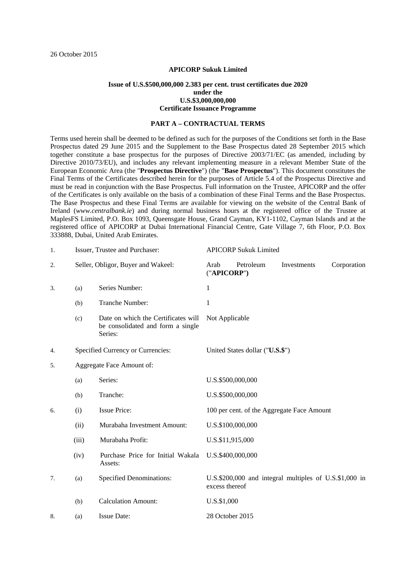### **APICORP Sukuk Limited**

### **Issue of U.S.\$500,000,000 2.383 per cent. trust certificates due 2020 under the U.S.\$3,000,000,000 Certificate Issuance Programme**

#### **PART A – CONTRACTUAL TERMS**

Terms used herein shall be deemed to be defined as such for the purposes of the Conditions set forth in the Base Prospectus dated 29 June 2015 and the Supplement to the Base Prospectus dated 28 September 2015 which together constitute a base prospectus for the purposes of Directive 2003/71/EC (as amended, including by Directive 2010/73/EU), and includes any relevant implementing measure in a relevant Member State of the European Economic Area (the "**Prospectus Directive**") (the "**Base Prospectus**"). This document constitutes the Final Terms of the Certificates described herein for the purposes of Article 5.4 of the Prospectus Directive and must be read in conjunction with the Base Prospectus. Full information on the Trustee, APICORP and the offer of the Certificates is only available on the basis of a combination of these Final Terms and the Base Prospectus. The Base Prospectus and these Final Terms are available for viewing on the website of the Central Bank of Ireland (*www.centralbank.ie*) and during normal business hours at the registered office of the Trustee at MaplesFS Limited, P.O. Box 1093, Queensgate House, Grand Cayman, KY1-1102, Cayman Islands and at the registered office of APICORP at Dubai International Financial Centre, Gate Village 7, 6th Floor, P.O. Box 333888, Dubai, United Arab Emirates.

| 1. | Issuer, Trustee and Purchaser:                                       |                                                                                     | <b>APICORP Sukuk Limited</b> |           |                                                        |             |  |
|----|----------------------------------------------------------------------|-------------------------------------------------------------------------------------|------------------------------|-----------|--------------------------------------------------------|-------------|--|
| 2. |                                                                      | Seller, Obligor, Buyer and Wakeel:                                                  | Arab<br>("APICORP")          | Petroleum | Investments                                            | Corporation |  |
| 3. | (a)                                                                  | Series Number:                                                                      | 1                            |           |                                                        |             |  |
|    | (b)                                                                  | Tranche Number:                                                                     | 1                            |           |                                                        |             |  |
|    | (c)                                                                  | Date on which the Certificates will<br>be consolidated and form a single<br>Series: | Not Applicable               |           |                                                        |             |  |
| 4. | Specified Currency or Currencies:<br>United States dollar ("U.S.\$") |                                                                                     |                              |           |                                                        |             |  |
| 5. | Aggregate Face Amount of:                                            |                                                                                     |                              |           |                                                        |             |  |
|    | (a)                                                                  | Series:                                                                             | U.S.\$500,000,000            |           |                                                        |             |  |
|    | (b)                                                                  | Tranche:                                                                            | U.S.\$500,000,000            |           |                                                        |             |  |
| 6. | (i)                                                                  | <b>Issue Price:</b>                                                                 |                              |           | 100 per cent. of the Aggregate Face Amount             |             |  |
|    | (ii)                                                                 | Murabaha Investment Amount:                                                         | U.S.\$100,000,000            |           |                                                        |             |  |
|    | (iii)                                                                | Murabaha Profit:                                                                    | U.S.\$11,915,000             |           |                                                        |             |  |
|    | (iv)                                                                 | Purchase Price for Initial Wakala<br>Assets:                                        | U.S.\$400,000,000            |           |                                                        |             |  |
| 7. | (a)                                                                  | <b>Specified Denominations:</b>                                                     | excess thereof               |           | U.S.\$200,000 and integral multiples of U.S.\$1,000 in |             |  |
|    | (b)                                                                  | <b>Calculation Amount:</b>                                                          | U.S.\$1,000                  |           |                                                        |             |  |
| 8. | (a)                                                                  | <b>Issue Date:</b>                                                                  | 28 October 2015              |           |                                                        |             |  |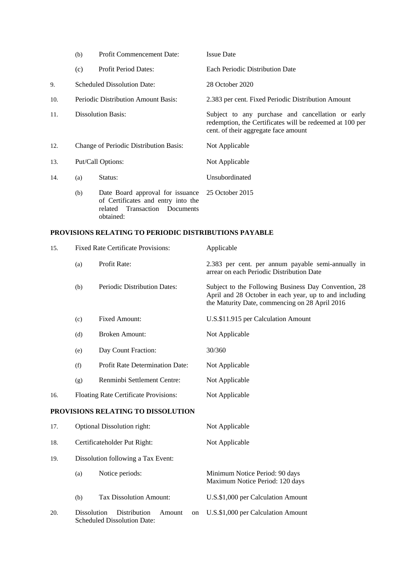|     | (b)                                        | <b>Profit Commencement Date:</b>                                                                                                     | <b>Issue Date</b>                                                                                                                                     |  |
|-----|--------------------------------------------|--------------------------------------------------------------------------------------------------------------------------------------|-------------------------------------------------------------------------------------------------------------------------------------------------------|--|
|     | (c)                                        | <b>Profit Period Dates:</b>                                                                                                          | Each Periodic Distribution Date                                                                                                                       |  |
| 9.  | <b>Scheduled Dissolution Date:</b>         |                                                                                                                                      | 28 October 2020                                                                                                                                       |  |
| 10. | <b>Periodic Distribution Amount Basis:</b> |                                                                                                                                      | 2.383 per cent. Fixed Periodic Distribution Amount                                                                                                    |  |
| 11. | <b>Dissolution Basis:</b>                  |                                                                                                                                      | Subject to any purchase and cancellation or early<br>redemption, the Certificates will be redeemed at 100 per<br>cent. of their aggregate face amount |  |
| 12. | Change of Periodic Distribution Basis:     |                                                                                                                                      | Not Applicable                                                                                                                                        |  |
| 13. | Put/Call Options:                          |                                                                                                                                      | Not Applicable                                                                                                                                        |  |
| 14. | (a)                                        | Status:                                                                                                                              | Unsubordinated                                                                                                                                        |  |
|     | (b)                                        | Date Board approval for issuance 25 October 2015<br>of Certificates and entry into the<br>related Transaction Documents<br>obtained: |                                                                                                                                                       |  |

# **PROVISIONS RELATING TO PERIODIC DISTRIBUTIONS PAYABLE**

| 15. | <b>Fixed Rate Certificate Provisions:</b> |                                                                    | Applicable                                                                                                                                                       |  |  |
|-----|-------------------------------------------|--------------------------------------------------------------------|------------------------------------------------------------------------------------------------------------------------------------------------------------------|--|--|
|     | (a)                                       | Profit Rate:                                                       | 2.383 per cent. per annum payable semi-annually in<br>arrear on each Periodic Distribution Date                                                                  |  |  |
|     | (b)                                       | Periodic Distribution Dates:                                       | Subject to the Following Business Day Convention, 28<br>April and 28 October in each year, up to and including<br>the Maturity Date, commencing on 28 April 2016 |  |  |
|     | (c)                                       | <b>Fixed Amount:</b>                                               | U.S.\$11.915 per Calculation Amount                                                                                                                              |  |  |
|     | (d)                                       | <b>Broken Amount:</b>                                              | Not Applicable                                                                                                                                                   |  |  |
|     | (e)                                       | Day Count Fraction:                                                | 30/360                                                                                                                                                           |  |  |
|     | (f)                                       | <b>Profit Rate Determination Date:</b>                             | Not Applicable                                                                                                                                                   |  |  |
|     | (g)                                       | Renminbi Settlement Centre:                                        | Not Applicable                                                                                                                                                   |  |  |
| 16. | Floating Rate Certificate Provisions:     |                                                                    | Not Applicable                                                                                                                                                   |  |  |
|     |                                           | PROVISIONS RELATING TO DISSOLUTION                                 |                                                                                                                                                                  |  |  |
| 17. | <b>Optional Dissolution right:</b>        |                                                                    | Not Applicable                                                                                                                                                   |  |  |
| 18. | Certificateholder Put Right:              |                                                                    | Not Applicable                                                                                                                                                   |  |  |
| 19. |                                           | Dissolution following a Tax Event:                                 |                                                                                                                                                                  |  |  |
|     | (a)                                       | Notice periods:                                                    | Minimum Notice Period: 90 days<br>Maximum Notice Period: 120 days                                                                                                |  |  |
|     | (b)                                       | <b>Tax Dissolution Amount:</b>                                     | U.S.\$1,000 per Calculation Amount                                                                                                                               |  |  |
| 20. | <b>Dissolution</b>                        | Distribution<br>Amount<br>on<br><b>Scheduled Dissolution Date:</b> | U.S.\$1,000 per Calculation Amount                                                                                                                               |  |  |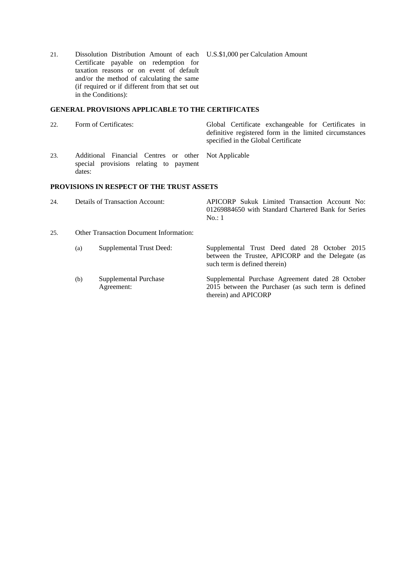21. Dissolution Distribution Amount of each U.S.\$1,000 per Calculation Amount Certificate payable on redemption for taxation reasons or on event of default and/or the method of calculating the same (if required or if different from that set out in the Conditions):

### **GENERAL PROVISIONS APPLICABLE TO THE CERTIFICATES**

| 22. |  | Form of Certificates: |
|-----|--|-----------------------|
|     |  |                       |

Global Certificate exchangeable for Certificates in definitive registered form in the limited circumstances specified in the Global Certificate

23. Additional Financial Centres or other Not Applicable special provisions relating to payment dates:

### **PROVISIONS IN RESPECT OF THE TRUST ASSETS**

| 24. | Details of Transaction Account: |      |  | APICORP Sukuk Limited Transaction Account No:       |  |
|-----|---------------------------------|------|--|-----------------------------------------------------|--|
|     |                                 |      |  | 01269884650 with Standard Chartered Bank for Series |  |
|     |                                 | No:1 |  |                                                     |  |
|     |                                 |      |  |                                                     |  |

- 25. Other Transaction Document Information:
	- (a) Supplemental Trust Deed: Supplemental Trust Deed dated 28 October 2015 between the Trustee, APICORP and the Delegate (as such term is defined therein) (b) Supplemental Purchase Agreement: Supplemental Purchase Agreement dated 28 October 2015 between the Purchaser (as such term is defined therein) and APICORP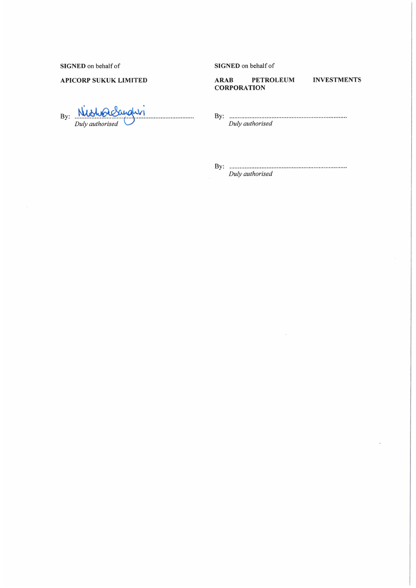SIGNED on behalf of

### **APICORP SUKUK LIMITED**

By:  $\mathbb{N}$  $\mathcal{N}$ Duly authorised

### SIGNED on behalf of

**PETROLEUM ARAB CORPORATION** 

# **INVESTMENTS**

Duly authorised

 $\overline{\phantom{a}}$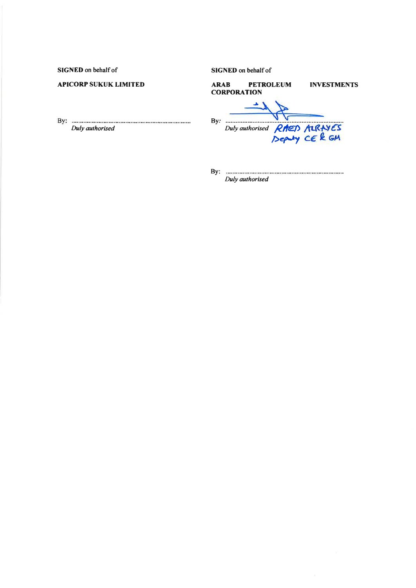**SIGNED** on behalf of

# **APICORP SUKUK LIMITED**

By: <u>Duly authorised</u>

SIGNED on behalf of

| <b>ARAB</b> | <b>CORPORATION</b>           | <b>PETROLEUM</b> | <b>INVESTMENTS</b> |
|-------------|------------------------------|------------------|--------------------|
| Bv:         | Duly authorised RAED ALRAYES |                  |                    |

By: **maximum** communication communication Duly authorised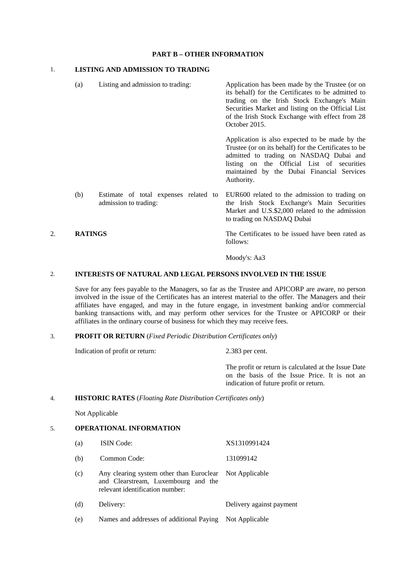### **PART B – OTHER INFORMATION**

# 1. **LISTING AND ADMISSION TO TRADING**

 (a) Listing and admission to trading: Application has been made by the Trustee (or on its behalf) for the Certificates to be admitted to trading on the Irish Stock Exchange's Main Securities Market and listing on the Official List of the Irish Stock Exchange with effect from 28 October 2015. Application is also expected to be made by the Trustee (or on its behalf) for the Certificates to be admitted to trading on NASDAQ Dubai and listing on the Official List of securities maintained by the Dubai Financial Services Authority. (b) Estimate of total expenses related to admission to trading: EUR600 related to the admission to trading on the Irish Stock Exchange's Main Securities Market and U.S.\$2,000 related to the admission to trading on NASDAQ Dubai 2. **RATINGS** The Certificates to be issued have been rated as

follows:

Moody's: Aa3

#### 2. **INTERESTS OF NATURAL AND LEGAL PERSONS INVOLVED IN THE ISSUE**

Save for any fees payable to the Managers, so far as the Trustee and APICORP are aware, no person involved in the issue of the Certificates has an interest material to the offer. The Managers and their affiliates have engaged, and may in the future engage, in investment banking and/or commercial banking transactions with, and may perform other services for the Trustee or APICORP or their affiliates in the ordinary course of business for which they may receive fees.

### 3. **PROFIT OR RETURN** (*Fixed Periodic Distribution Certificates only*)

Indication of profit or return: 2.383 per cent.

 The profit or return is calculated at the Issue Date on the basis of the Issue Price. It is not an indication of future profit or return.

### 4. **HISTORIC RATES** (*Floating Rate Distribution Certificates only*)

Not Applicable

## 5. **OPERATIONAL INFORMATION**

| (a) | <b>ISIN</b> Code:                                                                                                                 | XS1310991424             |
|-----|-----------------------------------------------------------------------------------------------------------------------------------|--------------------------|
| (b) | Common Code:                                                                                                                      | 131099142                |
| (c) | Any clearing system other than Euroclear Not Applicable<br>and Clearstream, Luxembourg and the<br>relevant identification number: |                          |
| (d) | Delivery:                                                                                                                         | Delivery against payment |
| (e) | Names and addresses of additional Paying                                                                                          | Not Applicable           |